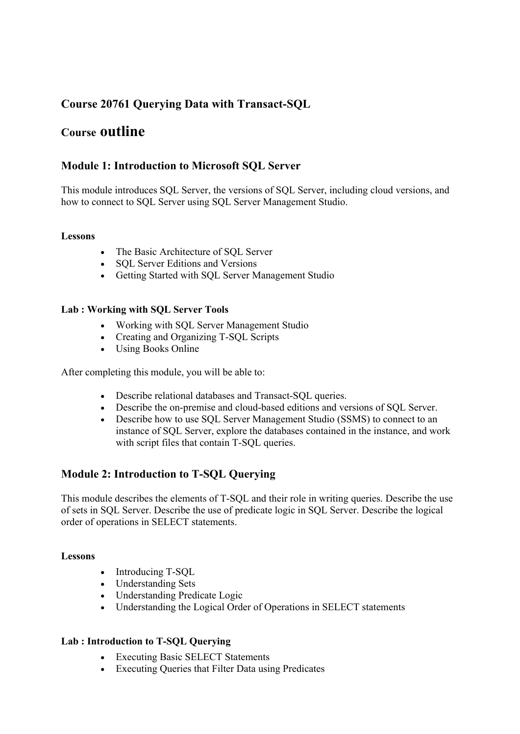# **Course 20761 Querying Data with Transact-SQL**

# **Course outline**

### **Module 1: Introduction to Microsoft SQL Server**

This module introduces SQL Server, the versions of SQL Server, including cloud versions, and how to connect to SQL Server using SQL Server Management Studio.

#### **Lessons**

- The Basic Architecture of SOL Server
- SOL Server Editions and Versions
- Getting Started with SQL Server Management Studio

#### **Lab : Working with SQL Server Tools**

- Working with SQL Server Management Studio
- Creating and Organizing T-SQL Scripts
- Using Books Online

After completing this module, you will be able to:

- Describe relational databases and Transact-SQL queries.
- Describe the on-premise and cloud-based editions and versions of SQL Server.
- Describe how to use SQL Server Management Studio (SSMS) to connect to an instance of SQL Server, explore the databases contained in the instance, and work with script files that contain T-SQL queries.

# **Module 2: Introduction to T-SQL Querying**

This module describes the elements of T-SQL and their role in writing queries. Describe the use of sets in SQL Server. Describe the use of predicate logic in SQL Server. Describe the logical order of operations in SELECT statements.

#### **Lessons**

- Introducing T-SOL
- Understanding Sets
- Understanding Predicate Logic
- Understanding the Logical Order of Operations in SELECT statements

#### **Lab : Introduction to T-SQL Querying**

- Executing Basic SELECT Statements
- Executing Queries that Filter Data using Predicates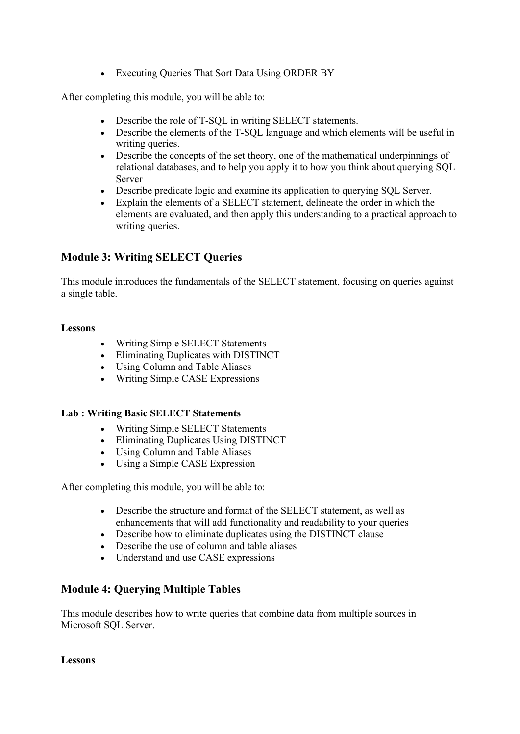• Executing Oueries That Sort Data Using ORDER BY

After completing this module, you will be able to:

- Describe the role of T-SQL in writing SELECT statements.
- Describe the elements of the T-SQL language and which elements will be useful in writing queries.
- Describe the concepts of the set theory, one of the mathematical underpinnings of relational databases, and to help you apply it to how you think about querying SQL Server
- Describe predicate logic and examine its application to querying SQL Server.
- Explain the elements of a SELECT statement, delineate the order in which the elements are evaluated, and then apply this understanding to a practical approach to writing queries.

# **Module 3: Writing SELECT Queries**

This module introduces the fundamentals of the SELECT statement, focusing on queries against a single table.

### **Lessons**

- Writing Simple SELECT Statements
- Eliminating Duplicates with DISTINCT
- Using Column and Table Aliases
- Writing Simple CASE Expressions

### **Lab : Writing Basic SELECT Statements**

- Writing Simple SELECT Statements
- Eliminating Duplicates Using DISTINCT
- Using Column and Table Aliases
- Using a Simple CASE Expression

After completing this module, you will be able to:

- Describe the structure and format of the SELECT statement, as well as enhancements that will add functionality and readability to your queries
- Describe how to eliminate duplicates using the DISTINCT clause
- Describe the use of column and table aliases
- Understand and use CASE expressions

# **Module 4: Querying Multiple Tables**

This module describes how to write queries that combine data from multiple sources in Microsoft SQL Server.

#### **Lessons**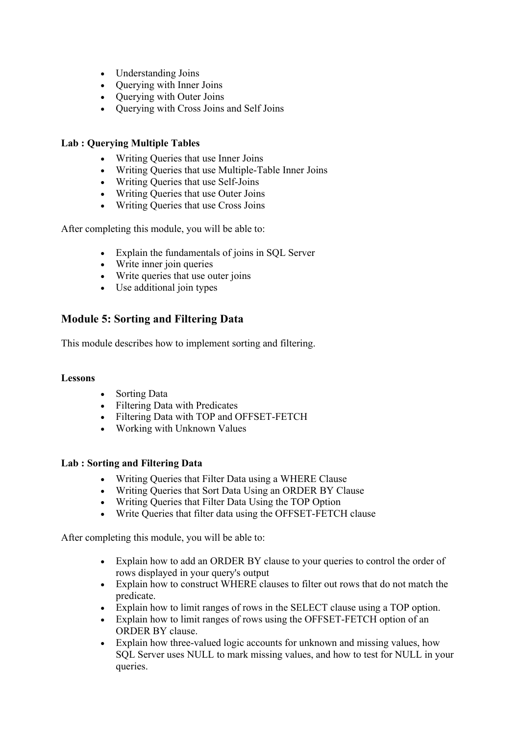- Understanding Joins
- Ouerving with Inner Joins
- Ouerving with Outer Joins
- Querying with Cross Joins and Self Joins

#### **Lab : Querying Multiple Tables**

- Writing Queries that use Inner Joins
- Writing Queries that use Multiple-Table Inner Joins
- Writing Queries that use Self-Joins
- Writing Queries that use Outer Joins
- Writing Oueries that use Cross Joins

After completing this module, you will be able to:

- Explain the fundamentals of joins in SQL Server
- Write inner join queries
- Write queries that use outer joins
- Use additional join types

# **Module 5: Sorting and Filtering Data**

This module describes how to implement sorting and filtering.

#### **Lessons**

- Sorting Data
- Filtering Data with Predicates
- Filtering Data with TOP and OFFSET-FETCH
- Working with Unknown Values

#### **Lab : Sorting and Filtering Data**

- Writing Queries that Filter Data using a WHERE Clause
- Writing Queries that Sort Data Using an ORDER BY Clause
- Writing Queries that Filter Data Using the TOP Option
- Write Queries that filter data using the OFFSET-FETCH clause

After completing this module, you will be able to:

- Explain how to add an ORDER BY clause to your queries to control the order of rows displayed in your query's output
- Explain how to construct WHERE clauses to filter out rows that do not match the predicate.
- Explain how to limit ranges of rows in the SELECT clause using a TOP option.
- Explain how to limit ranges of rows using the OFFSET-FETCH option of an ORDER BY clause.
- Explain how three-valued logic accounts for unknown and missing values, how SQL Server uses NULL to mark missing values, and how to test for NULL in your queries.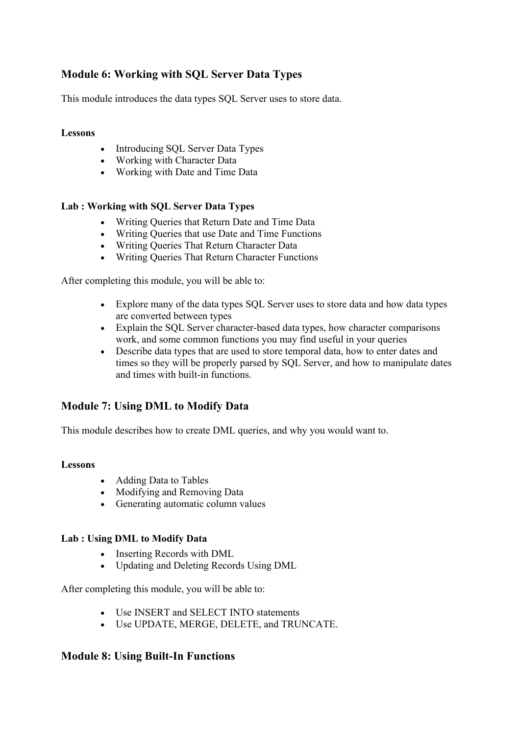# **Module 6: Working with SQL Server Data Types**

This module introduces the data types SQL Server uses to store data.

#### **Lessons**

- Introducing SOL Server Data Types
- Working with Character Data
- Working with Date and Time Data

#### **Lab : Working with SQL Server Data Types**

- Writing Queries that Return Date and Time Data
- Writing Queries that use Date and Time Functions
- Writing Queries That Return Character Data
- Writing Queries That Return Character Functions

After completing this module, you will be able to:

- Explore many of the data types SQL Server uses to store data and how data types are converted between types
- Explain the SQL Server character-based data types, how character comparisons work, and some common functions you may find useful in your queries
- Describe data types that are used to store temporal data, how to enter dates and times so they will be properly parsed by SQL Server, and how to manipulate dates and times with built-in functions.

# **Module 7: Using DML to Modify Data**

This module describes how to create DML queries, and why you would want to.

#### **Lessons**

- Adding Data to Tables
- Modifying and Removing Data
- Generating automatic column values

#### **Lab : Using DML to Modify Data**

- Inserting Records with DML
- Updating and Deleting Records Using DML

After completing this module, you will be able to:

- Use INSERT and SELECT INTO statements
- Use UPDATE, MERGE, DELETE, and TRUNCATE.

### **Module 8: Using Built-In Functions**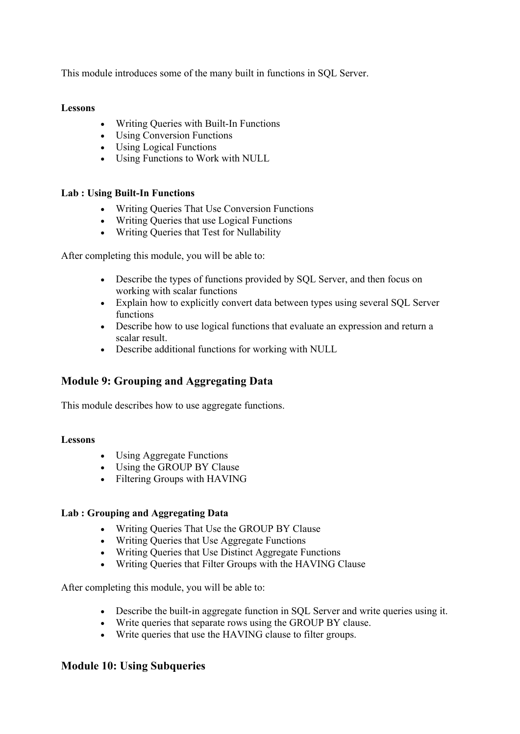This module introduces some of the many built in functions in SQL Server.

#### **Lessons**

- Writing Queries with Built-In Functions
- Using Conversion Functions
- Using Logical Functions
- Using Functions to Work with NULL

#### **Lab : Using Built-In Functions**

- Writing Queries That Use Conversion Functions
- Writing Oueries that use Logical Functions
- Writing Queries that Test for Nullability

After completing this module, you will be able to:

- Describe the types of functions provided by SQL Server, and then focus on working with scalar functions
- Explain how to explicitly convert data between types using several SQL Server functions
- Describe how to use logical functions that evaluate an expression and return a scalar result.
- Describe additional functions for working with NULL

# **Module 9: Grouping and Aggregating Data**

This module describes how to use aggregate functions.

#### **Lessons**

- Using Aggregate Functions
- Using the GROUP BY Clause
- Filtering Groups with HAVING

#### **Lab : Grouping and Aggregating Data**

- Writing Queries That Use the GROUP BY Clause
- Writing Queries that Use Aggregate Functions
- Writing Queries that Use Distinct Aggregate Functions
- Writing Queries that Filter Groups with the HAVING Clause

After completing this module, you will be able to:

- Describe the built-in aggregate function in SQL Server and write queries using it.
- Write queries that separate rows using the GROUP BY clause.
- Write queries that use the HAVING clause to filter groups.

### **Module 10: Using Subqueries**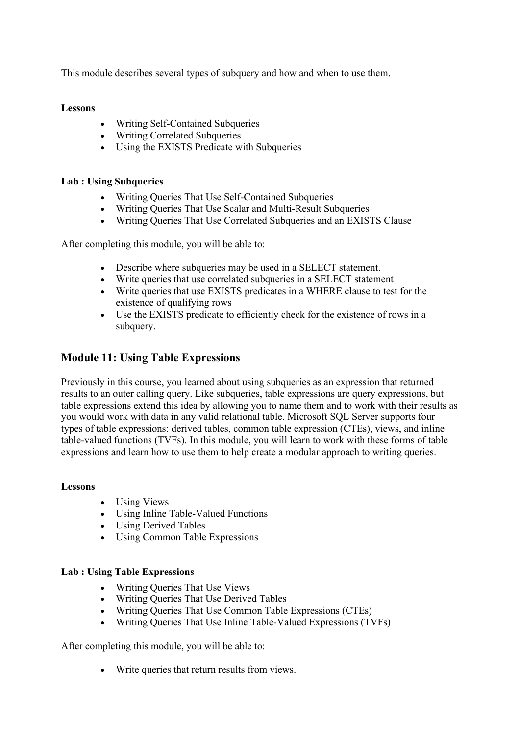This module describes several types of subquery and how and when to use them.

#### **Lessons**

- Writing Self-Contained Subqueries
- Writing Correlated Subqueries
- Using the EXISTS Predicate with Subqueries

#### **Lab : Using Subqueries**

- Writing Queries That Use Self-Contained Subqueries
- Writing Queries That Use Scalar and Multi-Result Subqueries
- Writing Queries That Use Correlated Subqueries and an EXISTS Clause

After completing this module, you will be able to:

- Describe where subqueries may be used in a SELECT statement.
- Write queries that use correlated subqueries in a SELECT statement
- Write queries that use EXISTS predicates in a WHERE clause to test for the existence of qualifying rows
- Use the EXISTS predicate to efficiently check for the existence of rows in a subquery.

### **Module 11: Using Table Expressions**

Previously in this course, you learned about using subqueries as an expression that returned results to an outer calling query. Like subqueries, table expressions are query expressions, but table expressions extend this idea by allowing you to name them and to work with their results as you would work with data in any valid relational table. Microsoft SQL Server supports four types of table expressions: derived tables, common table expression (CTEs), views, and inline table-valued functions (TVFs). In this module, you will learn to work with these forms of table expressions and learn how to use them to help create a modular approach to writing queries.

#### **Lessons**

- Using Views
- Using Inline Table-Valued Functions
- Using Derived Tables
- Using Common Table Expressions

#### **Lab : Using Table Expressions**

- Writing Queries That Use Views
- Writing Queries That Use Derived Tables
- Writing Queries That Use Common Table Expressions (CTEs)
- Writing Queries That Use Inline Table-Valued Expressions (TVFs)

After completing this module, you will be able to:

Write queries that return results from views.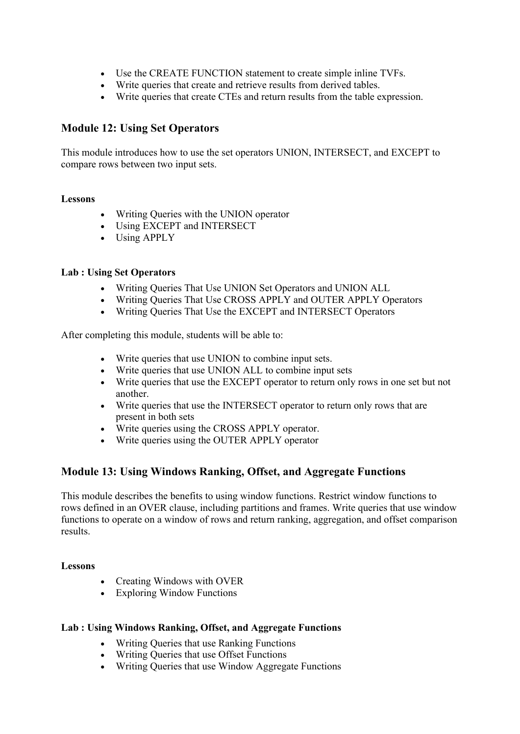- Use the CREATE FUNCTION statement to create simple inline TVFs.
- Write queries that create and retrieve results from derived tables.
- Write queries that create CTEs and return results from the table expression.

# **Module 12: Using Set Operators**

This module introduces how to use the set operators UNION, INTERSECT, and EXCEPT to compare rows between two input sets.

#### **Lessons**

- Writing Queries with the UNION operator
- Using EXCEPT and INTERSECT
- Using APPLY

#### **Lab : Using Set Operators**

- Writing Queries That Use UNION Set Operators and UNION ALL
- Writing Queries That Use CROSS APPLY and OUTER APPLY Operators
- Writing Queries That Use the EXCEPT and INTERSECT Operators

After completing this module, students will be able to:

- Write queries that use UNION to combine input sets.
- Write queries that use UNION ALL to combine input sets
- Write queries that use the EXCEPT operator to return only rows in one set but not another.
- Write queries that use the INTERSECT operator to return only rows that are present in both sets
- Write queries using the CROSS APPLY operator.
- Write queries using the OUTER APPLY operator

# **Module 13: Using Windows Ranking, Offset, and Aggregate Functions**

This module describes the benefits to using window functions. Restrict window functions to rows defined in an OVER clause, including partitions and frames. Write queries that use window functions to operate on a window of rows and return ranking, aggregation, and offset comparison results.

#### **Lessons**

- Creating Windows with OVER
- Exploring Window Functions

#### **Lab : Using Windows Ranking, Offset, and Aggregate Functions**

- Writing Queries that use Ranking Functions
- Writing Queries that use Offset Functions
- Writing Queries that use Window Aggregate Functions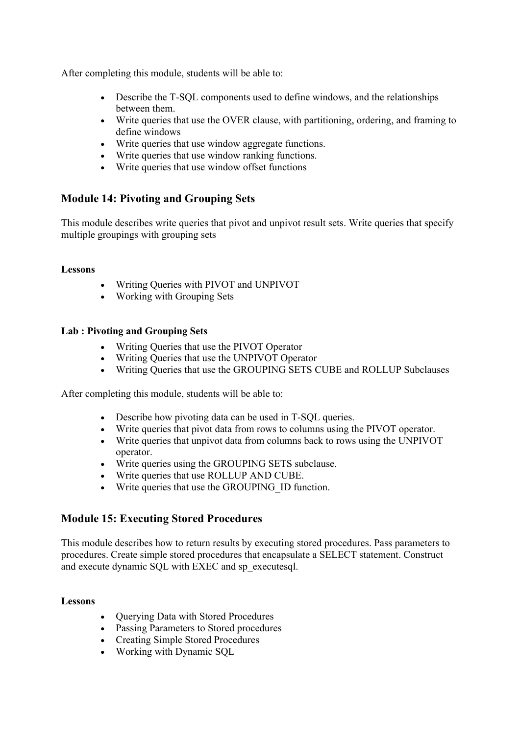After completing this module, students will be able to:

- Describe the T-SQL components used to define windows, and the relationships between them.
- Write queries that use the OVER clause, with partitioning, ordering, and framing to define windows
- Write queries that use window aggregate functions.
- Write queries that use window ranking functions.
- Write queries that use window offset functions

### **Module 14: Pivoting and Grouping Sets**

This module describes write queries that pivot and unpivot result sets. Write queries that specify multiple groupings with grouping sets

#### **Lessons**

- Writing Queries with PIVOT and UNPIVOT
- Working with Grouping Sets

#### **Lab : Pivoting and Grouping Sets**

- Writing Queries that use the PIVOT Operator
- Writing Queries that use the UNPIVOT Operator
- Writing Queries that use the GROUPING SETS CUBE and ROLLUP Subclauses

After completing this module, students will be able to:

- Describe how pivoting data can be used in T-SQL queries.
- Write queries that pivot data from rows to columns using the PIVOT operator.
- Write queries that unpivot data from columns back to rows using the UNPIVOT operator.
- Write queries using the GROUPING SETS subclause.
- Write queries that use ROLLUP AND CUBE.
- Write queries that use the GROUPING ID function.

### **Module 15: Executing Stored Procedures**

This module describes how to return results by executing stored procedures. Pass parameters to procedures. Create simple stored procedures that encapsulate a SELECT statement. Construct and execute dynamic SQL with EXEC and sp\_executesql.

#### **Lessons**

- Querying Data with Stored Procedures
- Passing Parameters to Stored procedures
- Creating Simple Stored Procedures
- Working with Dynamic SQL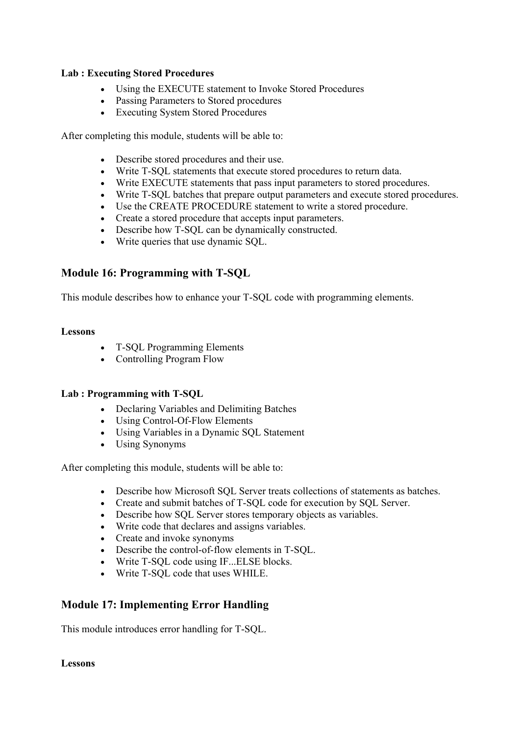#### **Lab : Executing Stored Procedures**

- Using the EXECUTE statement to Invoke Stored Procedures
- Passing Parameters to Stored procedures
- Executing System Stored Procedures

After completing this module, students will be able to:

- Describe stored procedures and their use.
- Write T-SQL statements that execute stored procedures to return data.
- Write EXECUTE statements that pass input parameters to stored procedures.
- Write T-SQL batches that prepare output parameters and execute stored procedures.
- Use the CREATE PROCEDURE statement to write a stored procedure.
- Create a stored procedure that accepts input parameters.
- Describe how T-SQL can be dynamically constructed.
- Write queries that use dynamic SQL.

# **Module 16: Programming with T-SQL**

This module describes how to enhance your T-SQL code with programming elements.

#### **Lessons**

- T-SQL Programming Elements
- Controlling Program Flow

#### **Lab : Programming with T-SQL**

- Declaring Variables and Delimiting Batches
- Using Control-Of-Flow Elements
- Using Variables in a Dynamic SQL Statement
- Using Synonyms

After completing this module, students will be able to:

- Describe how Microsoft SQL Server treats collections of statements as batches.
- Create and submit batches of T-SQL code for execution by SQL Server.
- Describe how SQL Server stores temporary objects as variables.
- Write code that declares and assigns variables.
- Create and invoke synonyms
- Describe the control-of-flow elements in T-SQL.
- Write T-SQL code using IF...ELSE blocks.
- Write T-SQL code that uses WHILE.

# **Module 17: Implementing Error Handling**

This module introduces error handling for T-SQL.

**Lessons**